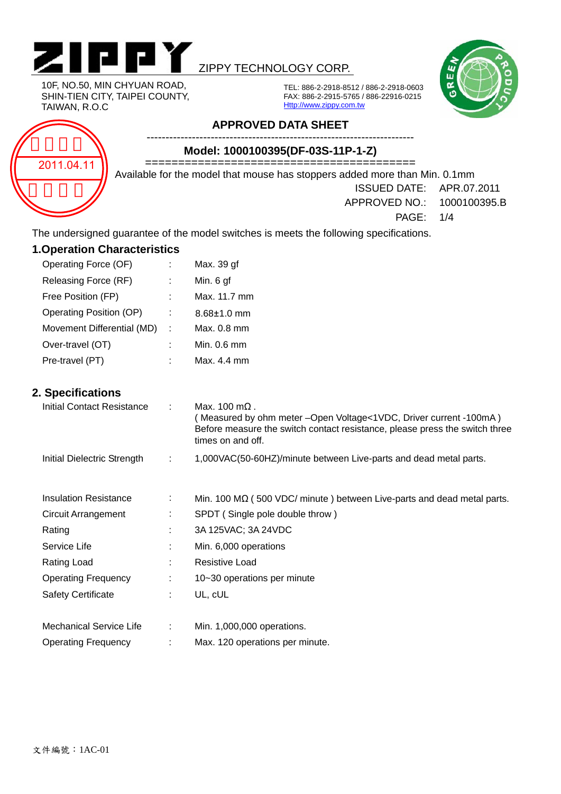

### ZIPPY TECHNOLOGY CORP.



10F, NO.50, MIN CHYUAN ROAD, SHIN-TIEN CITY, TAIPEI COUNTY, TAIWAN, R.O.C

TEL: 886-2-2918-8512 / 886-2-2918-0603 FAX: 886-2-2915-5765 / 886-22916-0215 Http://www.zippy.com.tw

# 2011.04.11

#### **APPROVED DATA SHEET**

**Model: 1000100395(DF-03S-11P-1-Z)** 

========================================= Available for the model that mouse has stoppers added more than Min. 0.1mm

-----------------------------------------------------------------------

ISSUED DATE: APR.07.2011

APPROVED NO.: 1000100395.B

PAGE: 1/4

The undersigned guarantee of the model switches is meets the following specifications.

| <b>1. Operation Characteristics</b> |   |                   |  |  |  |  |  |  |
|-------------------------------------|---|-------------------|--|--|--|--|--|--|
| Operating Force (OF)                |   | Max. 39 gf        |  |  |  |  |  |  |
| Releasing Force (RF)                |   | Min. 6 gf         |  |  |  |  |  |  |
| Free Position (FP)                  |   | Max. 11.7 mm      |  |  |  |  |  |  |
| Operating Position (OP)             |   | $8.68 \pm 1.0$ mm |  |  |  |  |  |  |
| Movement Differential (MD)          | ÷ | Max. 0.8 mm       |  |  |  |  |  |  |
| Over-travel (OT)                    |   | Min. 0.6 mm       |  |  |  |  |  |  |
| Pre-travel (PT)                     |   | Max. 4.4 mm       |  |  |  |  |  |  |

#### **2. Specifications**

| <b>Initial Contact Resistance</b> |    | Max. $100 \text{ m}\Omega$ .<br>(Measured by ohm meter - Open Voltage < 1VDC, Driver current - 100mA)<br>Before measure the switch contact resistance, please press the switch three<br>times on and off. |
|-----------------------------------|----|-----------------------------------------------------------------------------------------------------------------------------------------------------------------------------------------------------------|
| Initial Dielectric Strength       | ÷  | 1,000VAC(50-60HZ)/minute between Live-parts and dead metal parts.                                                                                                                                         |
| <b>Insulation Resistance</b>      | ÷  | Min. 100 $\text{M}\Omega$ (500 VDC/ minute ) between Live-parts and dead metal parts.                                                                                                                     |
| <b>Circuit Arrangement</b>        |    | SPDT (Single pole double throw)                                                                                                                                                                           |
| Rating                            | ٠. | 3A 125VAC; 3A 24VDC                                                                                                                                                                                       |
| Service Life                      | ÷  | Min. 6,000 operations                                                                                                                                                                                     |
| Rating Load                       |    | <b>Resistive Load</b>                                                                                                                                                                                     |
| <b>Operating Frequency</b>        | ÷  | 10~30 operations per minute                                                                                                                                                                               |
| <b>Safety Certificate</b>         | ÷  | UL, cUL                                                                                                                                                                                                   |
|                                   |    |                                                                                                                                                                                                           |
| <b>Mechanical Service Life</b>    | ÷  | Min. 1,000,000 operations.                                                                                                                                                                                |
| <b>Operating Frequency</b>        |    | Max. 120 operations per minute.                                                                                                                                                                           |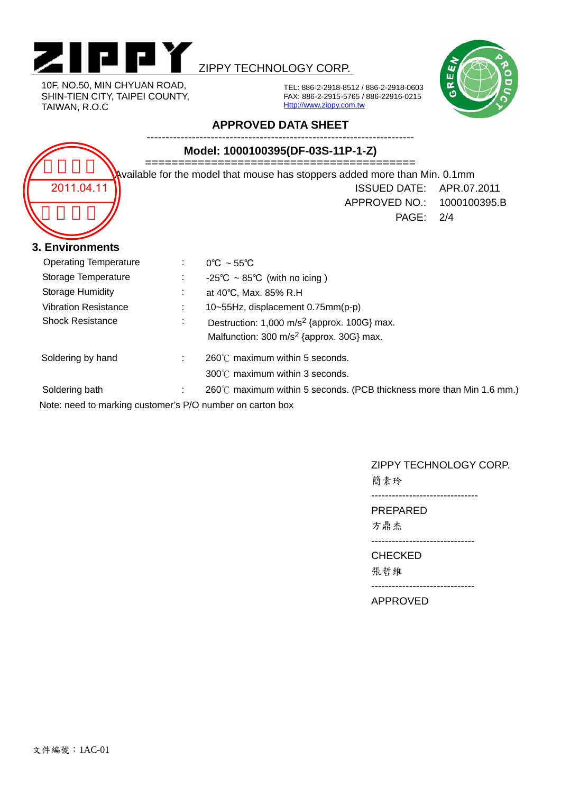

10F, NO.50, MIN CHYUAN ROAD, SHIN-TIEN CITY, TAIPEI COUNTY, TAIWAN, R.O.C

## ZIPPY TECHNOLOGY CORP.



TEL: 886-2-2918-8512 / 886-2-2918-0603 FAX: 886-2-2915-5765 / 886-22916-0215 Http://www.zippy.com.tw

#### **APPROVED DATA SHEET**

| Model: 1000100395(DF-03S-11P-1-Z)                                          |    |                                                                       |             |  |  |  |  |
|----------------------------------------------------------------------------|----|-----------------------------------------------------------------------|-------------|--|--|--|--|
| Available for the model that mouse has stoppers added more than Min. 0.1mm |    |                                                                       |             |  |  |  |  |
| 2011.04.11                                                                 |    | <b>ISSUED DATE:</b>                                                   | APR.07.2011 |  |  |  |  |
|                                                                            |    | APPROVED NO.: 1000100395.B                                            |             |  |  |  |  |
|                                                                            |    | PAGE:                                                                 | 2/4         |  |  |  |  |
|                                                                            |    |                                                                       |             |  |  |  |  |
| 3. Environments                                                            |    |                                                                       |             |  |  |  |  |
| <b>Operating Temperature</b>                                               | ÷. | $0^{\circ}$ C ~ 55 $^{\circ}$ C                                       |             |  |  |  |  |
| Storage Temperature                                                        |    | -25°C $\sim$ 85°C (with no icing)                                     |             |  |  |  |  |
| <b>Storage Humidity</b>                                                    |    | at 40°C, Max. 85% R.H                                                 |             |  |  |  |  |
| <b>Vibration Resistance</b>                                                |    | 10~55Hz, displacement 0.75mm(p-p)                                     |             |  |  |  |  |
| <b>Shock Resistance</b>                                                    |    | Destruction: 1,000 m/s <sup>2</sup> {approx. 100G} max.               |             |  |  |  |  |
|                                                                            |    | Malfunction: 300 m/s <sup>2</sup> {approx. 30G} max.                  |             |  |  |  |  |
| Soldering by hand                                                          |    | 260℃ maximum within 5 seconds.                                        |             |  |  |  |  |
|                                                                            |    | 300℃ maximum within 3 seconds.                                        |             |  |  |  |  |
| Soldering bath                                                             |    | 260°C maximum within 5 seconds. (PCB thickness more than Min 1.6 mm.) |             |  |  |  |  |
| Note: need to marking customer's P/O number on carton box                  |    |                                                                       |             |  |  |  |  |

#### ZIPPY TECHNOLOGY CORP.

簡素玲

-------------------------------

PREPARED

方鼎杰

------------------------------

CHECKED

張哲維

------------------------------

APPROVED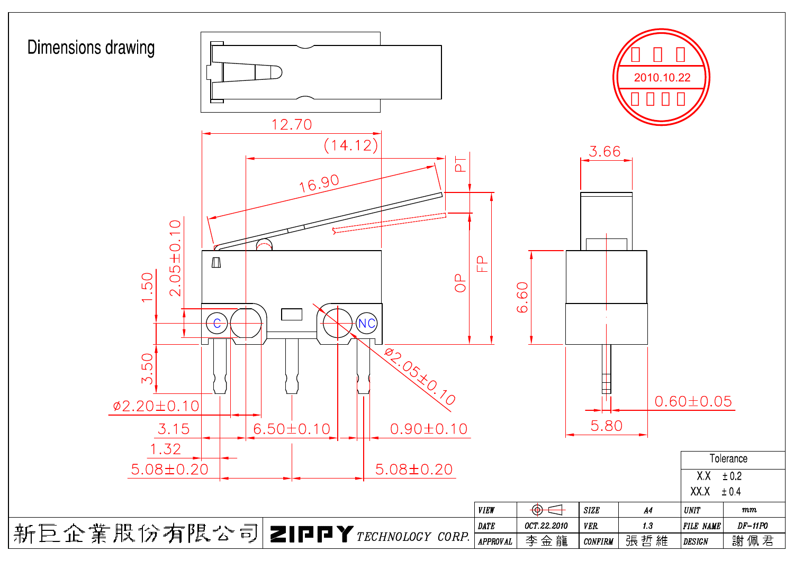